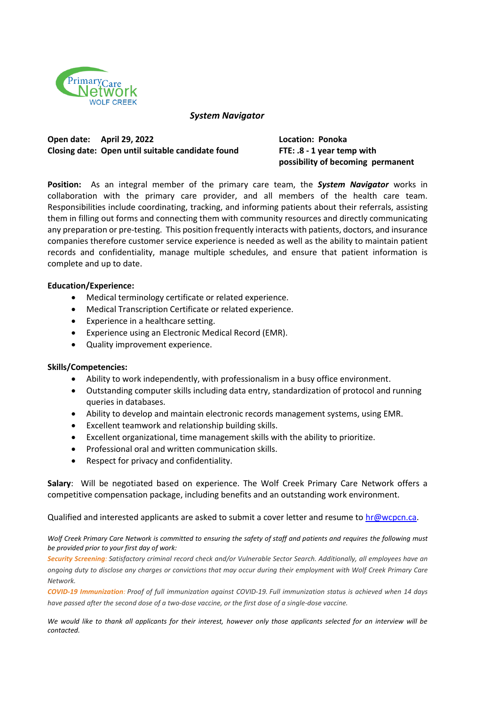

*System Navigator*

**Open date: April 29, 2022 Location: Ponoka Closing date: Open until suitable candidate found FTE: .8 - 1 year temp with**

**possibility of becoming permanent** 

**Position:** As an integral member of the primary care team, the *System Navigator* works in collaboration with the primary care provider, and all members of the health care team. Responsibilities include coordinating, tracking, and informing patients about their referrals, assisting them in filling out forms and connecting them with community resources and directly communicating any preparation or pre-testing. This position frequently interacts with patients, doctors, and insurance companies therefore customer service experience is needed as well as the ability to maintain patient records and confidentiality, manage multiple schedules, and ensure that patient information is complete and up to date.

## **Education/Experience:**

- Medical terminology certificate or related experience.
- Medical Transcription Certificate or related experience.
- Experience in a healthcare setting.
- Experience using an Electronic Medical Record (EMR).
- Quality improvement experience.

## **Skills/Competencies:**

- Ability to work independently, with professionalism in a busy office environment.
- Outstanding computer skills including data entry, standardization of protocol and running queries in databases.
- Ability to develop and maintain electronic records management systems, using EMR.
- Excellent teamwork and relationship building skills.
- Excellent organizational, time management skills with the ability to prioritize.
- Professional oral and written communication skills.
- Respect for privacy and confidentiality.

**Salary**: Will be negotiated based on experience. The Wolf Creek Primary Care Network offers a competitive compensation package, including benefits and an outstanding work environment.

Qualified and interested applicants are asked to submit a cover letter and resume to [hr@wcpcn.ca.](mailto:hr@wcpcn.ca./)

*Wolf Creek Primary Care Network is committed to ensuring the safety of staff and patients and requires the following must be provided prior to your first day of work:*

Security Screening: Satisfactory criminal record check and/or Vulnerable Sector Search. Additionally, all employees have an ongoing duty to disclose any charges or convictions that may occur during their employment with Wolf Creek Primary Care *Network.*

**COVID-19 Immunization:** Proof of full immunization against COVID-19. Full immunization status is achieved when 14 days have passed after the second dose of a two-dose vaccine, or the first dose of a single-dose vaccine.

*We would like to thank all applicants for their interest, however only those applicants selected for an interview will be contacted.*